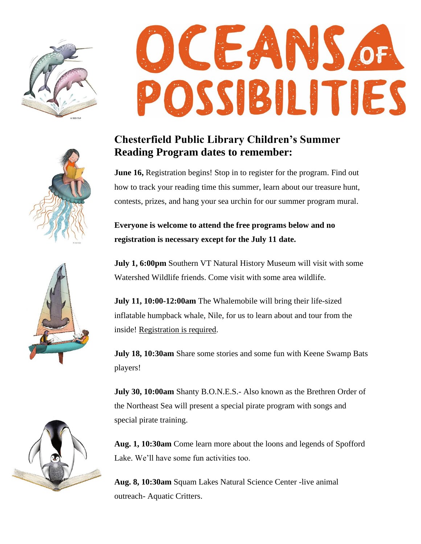

## **CEA** POSSIBILITIES

## **Chesterfield Public Library Children's Summer Reading Program dates to remember:**

**June 16,** Registration begins! Stop in to register for the program. Find out how to track your reading time this summer, learn about our treasure hunt, contests, prizes, and hang your sea urchin for our summer program mural.

**Everyone is welcome to attend the free programs below and no registration is necessary except for the July 11 date.**

**July 1, 6:00pm** Southern VT Natural History Museum will visit with some Watershed Wildlife friends. Come visit with some area wildlife.

**July 11, 10:00-12:00am** The Whalemobile will bring their life-sized inflatable humpback whale, Nile, for us to learn about and tour from the inside! Registration is required.

**July 18, 10:30am** Share some stories and some fun with Keene Swamp Bats players!

**July 30, 10:00am** Shanty B.O.N.E.S.- Also known as the Brethren Order of the Northeast Sea will present a special pirate program with songs and special pirate training.

**Aug. 1, 10:30am** Come learn more about the loons and legends of Spofford Lake. We'll have some fun activities too.

**Aug. 8, 10:30am** Squam Lakes Natural Science Center -live animal outreach- Aquatic Critters.